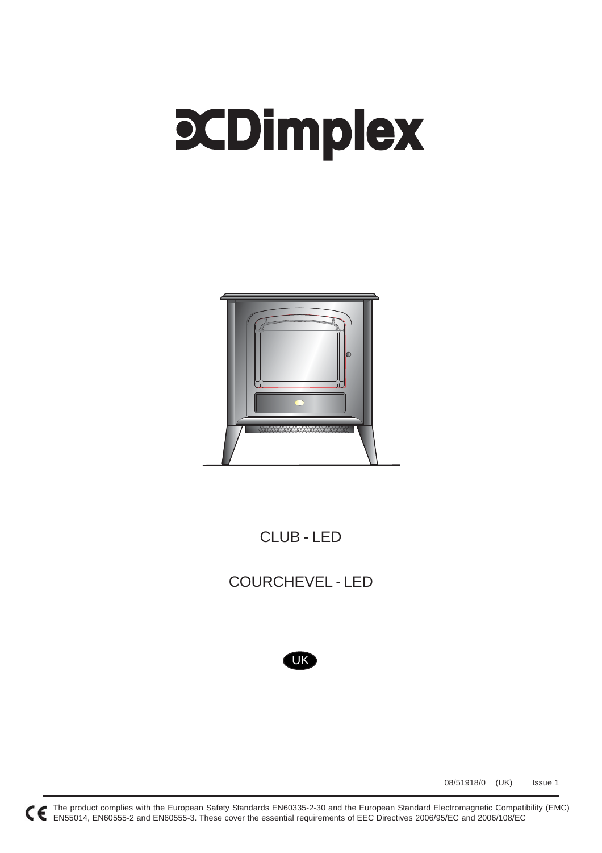# **PCDimplex**



CLUB - LED

COURCHEVEL - LED



08/51918/0 (UK) Issue 1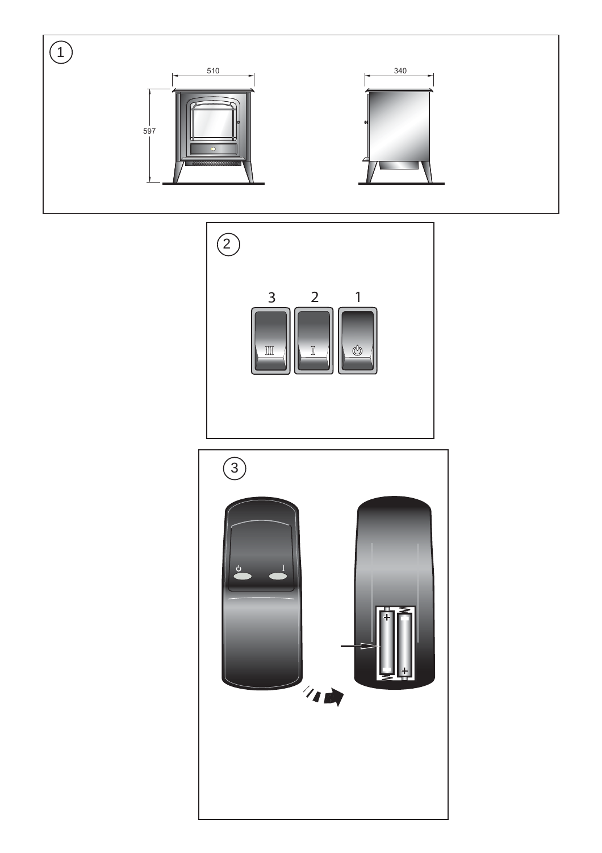

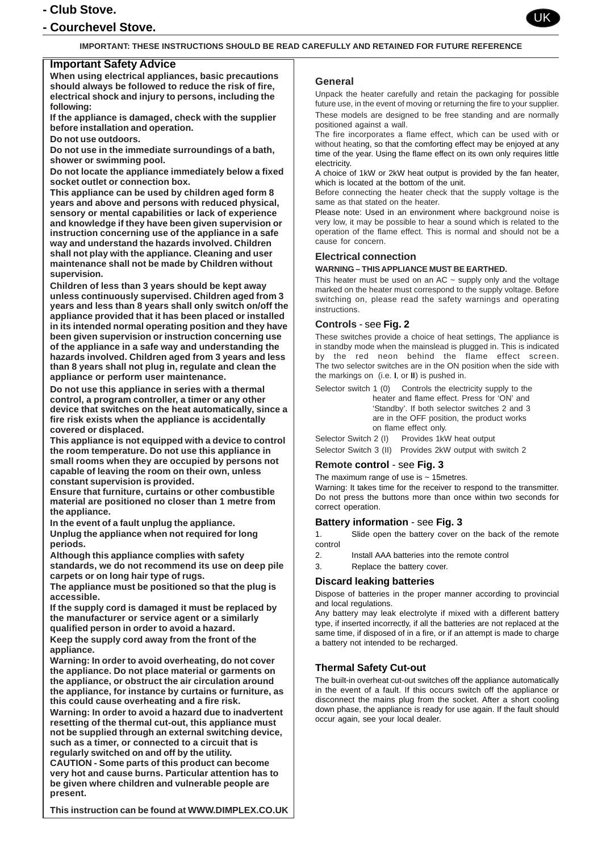# **- Club Stove.**

# **- Courchevel Stove.**

![](_page_2_Picture_2.jpeg)

#### **IMPORTANT: THESE INSTRUCTIONS SHOULD BE READ CAREFULLY AND RETAINED FOR FUTURE REFERENCE**

## **Important Safety Advice**

**When using electrical appliances, basic precautions should always be followed to reduce the risk of fire, electrical shock and injury to persons, including the following:**

**If the appliance is damaged, check with the supplier before installation and operation.**

**Do not use outdoors.**

**Do not use in the immediate surroundings of a bath, shower or swimming pool.**

**Do not locate the appliance immediately below a fixed socket outlet or connection box.**

**This appliance can be used by children aged form 8 years and above and persons with reduced physical, sensory or mental capabilities or lack of experience and knowledge if they have been given supervision or instruction concerning use of the appliance in a safe way and understand the hazards involved. Children shall not play with the appliance. Cleaning and user maintenance shall not be made by Children without supervision.**

**Children of less than 3 years should be kept away unless continuously supervised. Children aged from 3 years and less than 8 years shall only switch on/off the appliance provided that it has been placed or installed in its intended normal operating position and they have been given supervision or instruction concerning use of the appliance in a safe way and understanding the hazards involved. Children aged from 3 years and less than 8 years shall not plug in, regulate and clean the appliance or perform user maintenance.**

**Do not use this appliance in series with a thermal control, a program controller, a timer or any other device that switches on the heat automatically, since a fire risk exists when the appliance is accidentally covered or displaced.**

**This appliance is not equipped with a device to control the room temperature. Do not use this appliance in small rooms when they are occupied by persons not capable of leaving the room on their own, unless constant supervision is provided.**

**Ensure that furniture, curtains or other combustible material are positioned no closer than 1 metre from the appliance.**

**In the event of a fault unplug the appliance. Unplug the appliance when not required for long periods.**

**Although this appliance complies with safety standards, we do not recommend its use on deep pile carpets or on long hair type of rugs.**

**The appliance must be positioned so that the plug is accessible.**

**If the supply cord is damaged it must be replaced by the manufacturer or service agent or a similarly qualified person in order to avoid a hazard.**

**Keep the supply cord away from the front of the appliance.**

**Warning: In order to avoid overheating, do not cover the appliance. Do not place material or garments on the appliance, or obstruct the air circulation around the appliance, for instance by curtains or furniture, as this could cause overheating and a fire risk.**

**Warning: In order to avoid a hazard due to inadvertent resetting of the thermal cut-out, this appliance must not be supplied through an external switching device, such as a timer, or connected to a circuit that is regularly switched on and off by the utility.**

**CAUTION - Some parts of this product can become very hot and cause burns. Particular attention has to be given where children and vulnerable people are present.**

**This instruction can be found at WWW.DIMPLEX.CO.UK**

#### **General**

Unpack the heater carefully and retain the packaging for possible future use, in the event of moving or returning the fire to your supplier. These models are designed to be free standing and are normally positioned against a wall.

The fire incorporates a flame effect, which can be used with or without heating, so that the comforting effect may be enjoyed at any time of the year. Using the flame effect on its own only requires little electricity.

A choice of 1kW or 2kW heat output is provided by the fan heater, which is located at the bottom of the unit.

Before connecting the heater check that the supply voltage is the same as that stated on the heater.

Please note: Used in an environment where background noise is very low, it may be possible to hear a sound which is related to the operation of the flame effect. This is normal and should not be a cause for concern.

#### **Electrical connection**

#### **WARNING – THIS APPLIANCE MUST BE EARTHED.**

This heater must be used on an  $AC \sim$  supply only and the voltage marked on the heater must correspond to the supply voltage. Before switching on, please read the safety warnings and operating instructions.

#### **Controls** - see **Fig. 2**

These switches provide a choice of heat settings, The appliance is in standby mode when the mainslead is plugged in. This is indicated by the red neon behind the flame effect screen. The two selector switches are in the ON position when the side with the markings on (i.e. **I**, or **II**) is pushed in.

Selector switch 1 (0) Controls the electricity supply to the heater and flame effect. Press for 'ON' and 'Standby'. If both selector switches 2 and 3 are in the OFF position, the product works on flame effect only.

Selector Switch 2 (I) Provides 1kW heat output Selector Switch 3 (II) Provides 2kW output with switch 2

## **Remote control** - see **Fig. 3**

The maximum range of use is  $\sim$  15 metres. Warning: It takes time for the receiver to respond to the transmitter. Do not press the buttons more than once within two seconds for correct operation.

## **Battery information** - see **Fig. 3**

1. Slide open the battery cover on the back of the remote control

- 2. Install AAA batteries into the remote control
- 3. Replace the battery cover.

## **Discard leaking batteries**

Dispose of batteries in the proper manner according to provincial and local regulations.

Any battery may leak electrolyte if mixed with a different battery type, if inserted incorrectly, if all the batteries are not replaced at the same time, if disposed of in a fire, or if an attempt is made to charge a battery not intended to be recharged.

## **Thermal Safety Cut-out**

The built-in overheat cut-out switches off the appliance automatically in the event of a fault. If this occurs switch off the appliance or disconnect the mains plug from the socket. After a short cooling down phase, the appliance is ready for use again. If the fault should occur again, see your local dealer.